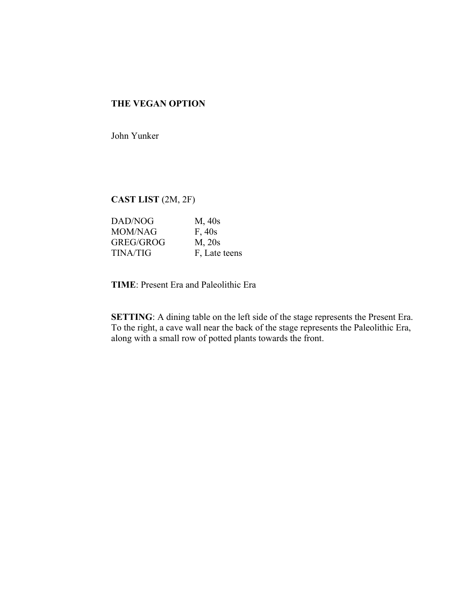# **THE VEGAN OPTION**

John Yunker

# **CAST LIST** (2M, 2F)

| DAD/NOG         | M, 40s           |
|-----------------|------------------|
| <b>MOM/NAG</b>  | F, 40s           |
| GREG/GROG       | M <sub>20s</sub> |
| <b>TINA/TIG</b> | F, Late teens    |

**TIME**: Present Era and Paleolithic Era

**SETTING**: A dining table on the left side of the stage represents the Present Era. To the right, a cave wall near the back of the stage represents the Paleolithic Era, along with a small row of potted plants towards the front.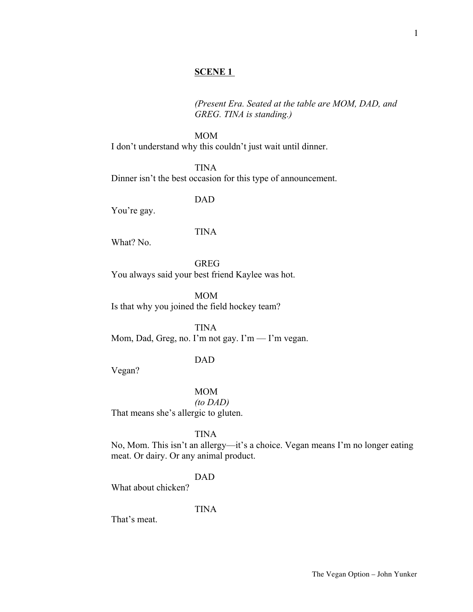# **SCENE 1**

*(Present Era. Seated at the table are MOM, DAD, and GREG. TINA is standing.)*

MOM I don't understand why this couldn't just wait until dinner.

TINA Dinner isn't the best occasion for this type of announcement.

DAD

You're gay.

# TINA

What? No.

GREG

You always said your best friend Kaylee was hot.

MOM Is that why you joined the field hockey team?

TINA Mom, Dad, Greg, no. I'm not gay. I'm — I'm vegan.

## DAD

Vegan?

MOM

*(to DAD)* That means she's allergic to gluten.

TINA

No, Mom. This isn't an allergy—it's a choice. Vegan means I'm no longer eating meat. Or dairy. Or any animal product.

DAD

What about chicken?

TINA

That's meat.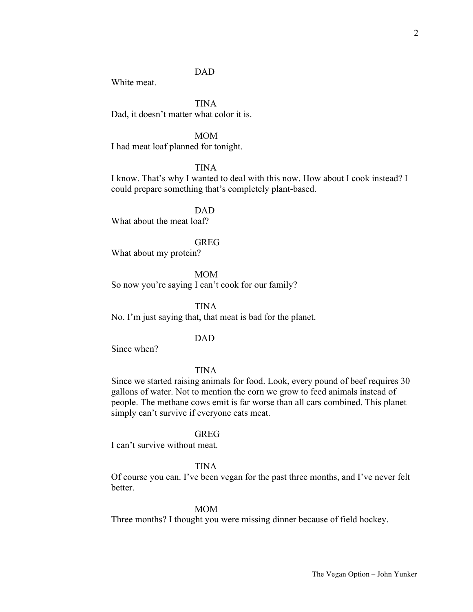# DAD

White meat.

TINA Dad, it doesn't matter what color it is.

MOM I had meat loaf planned for tonight.

TINA

I know. That's why I wanted to deal with this now. How about I cook instead? I could prepare something that's completely plant-based.

DAD What about the meat loaf?

GREG

What about my protein?

MOM

So now you're saying I can't cook for our family?

TINA

No. I'm just saying that, that meat is bad for the planet.

DAD

Since when?

TINA

Since we started raising animals for food. Look, every pound of beef requires 30 gallons of water. Not to mention the corn we grow to feed animals instead of people. The methane cows emit is far worse than all cars combined. This planet simply can't survive if everyone eats meat.

## GREG

I can't survive without meat.

# TINA

Of course you can. I've been vegan for the past three months, and I've never felt better.

### MOM

Three months? I thought you were missing dinner because of field hockey.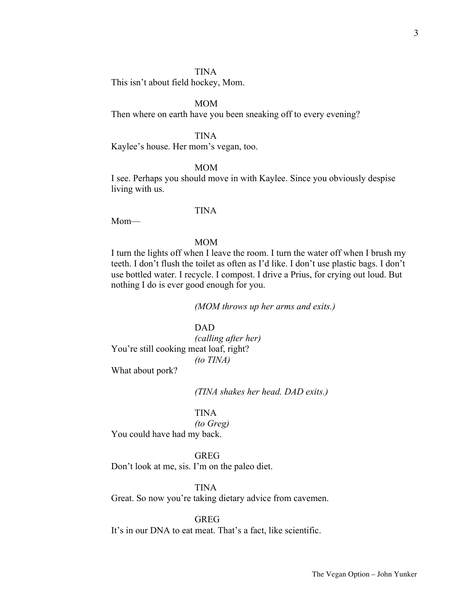## TINA

This isn't about field hockey, Mom.

# MOM

Then where on earth have you been sneaking off to every evening?

# TINA

Kaylee's house. Her mom's vegan, too.

## MOM

I see. Perhaps you should move in with Kaylee. Since you obviously despise living with us.

## TINA

Mom—

# MOM

I turn the lights off when I leave the room. I turn the water off when I brush my teeth. I don't flush the toilet as often as I'd like. I don't use plastic bags. I don't use bottled water. I recycle. I compost. I drive a Prius, for crying out loud. But nothing I do is ever good enough for you.

*(MOM throws up her arms and exits.)*

# DAD

*(calling after her)* You're still cooking meat loaf, right? *(to TINA)*

What about pork?

*(TINA shakes her head. DAD exits.)*

# TINA

*(to Greg)*

You could have had my back.

#### GREG

Don't look at me, sis. I'm on the paleo diet.

#### TINA

Great. So now you're taking dietary advice from cavemen.

# GREG

It's in our DNA to eat meat. That's a fact, like scientific.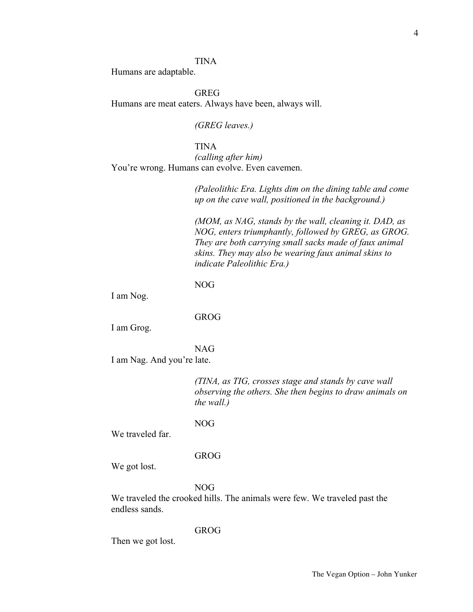# TINA

Humans are adaptable.

GREG Humans are meat eaters. Always have been, always will.

*(GREG leaves.)*

# TINA

*(calling after him)* You're wrong. Humans can evolve. Even cavemen.

> *(Paleolithic Era. Lights dim on the dining table and come up on the cave wall, positioned in the background.)*

> *(MOM, as NAG, stands by the wall, cleaning it. DAD, as NOG, enters triumphantly, followed by GREG, as GROG. They are both carrying small sacks made of faux animal skins. They may also be wearing faux animal skins to indicate Paleolithic Era.)*

NOG

I am Nog.

GROG

I am Grog.

NAG

I am Nag. And you're late.

*(TINA, as TIG, crosses stage and stands by cave wall observing the others. She then begins to draw animals on the wall.)*

NOG

We traveled far.

#### GROG

We got lost.

NOG

We traveled the crooked hills. The animals were few. We traveled past the endless sands.

#### GROG

Then we got lost.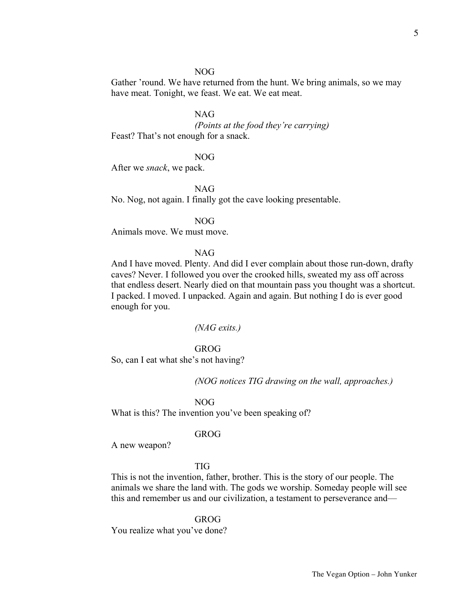# 5

#### NOG

Gather 'round. We have returned from the hunt. We bring animals, so we may have meat. Tonight, we feast. We eat. We eat meat.

# NAG

*(Points at the food they're carrying)* Feast? That's not enough for a snack.

## NOG

After we *snack*, we pack.

NAG

No. Nog, not again. I finally got the cave looking presentable.

NOG

Animals move. We must move.

## NAG

And I have moved. Plenty. And did I ever complain about those run-down, drafty caves? Never. I followed you over the crooked hills, sweated my ass off across that endless desert. Nearly died on that mountain pass you thought was a shortcut. I packed. I moved. I unpacked. Again and again. But nothing I do is ever good enough for you.

### *(NAG exits.)*

#### GROG

So, can I eat what she's not having?

*(NOG notices TIG drawing on the wall, approaches.)*

#### NOG

What is this? The invention you've been speaking of?

## GROG

A new weapon?

# TIG

This is not the invention, father, brother. This is the story of our people. The animals we share the land with. The gods we worship. Someday people will see this and remember us and our civilization, a testament to perseverance and—

GROG

You realize what you've done?